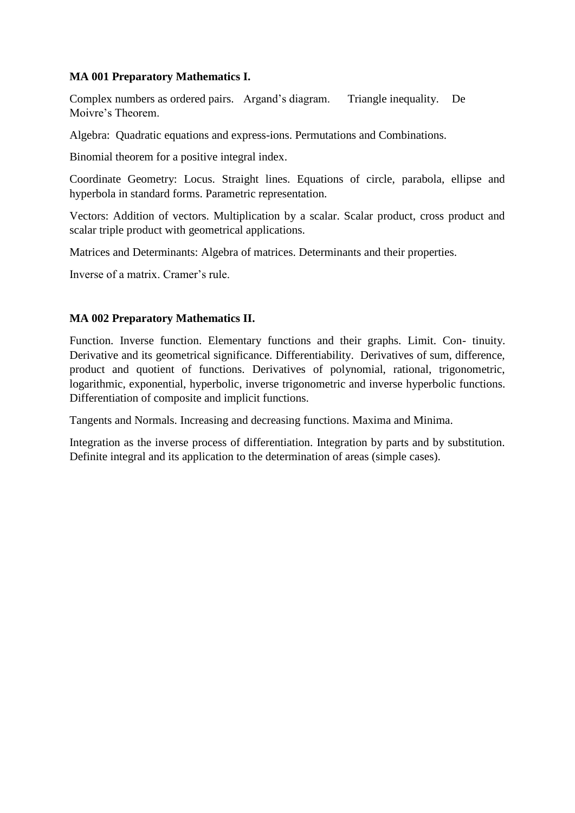## **MA 001 Preparatory Mathematics I.**

Complex numbers as ordered pairs. Argand's diagram. Triangle inequality. De Moivre's Theorem.

Algebra: Quadratic equations and express-ions. Permutations and Combinations.

Binomial theorem for a positive integral index.

Coordinate Geometry: Locus. Straight lines. Equations of circle, parabola, ellipse and hyperbola in standard forms. Parametric representation.

Vectors: Addition of vectors. Multiplication by a scalar. Scalar product, cross product and scalar triple product with geometrical applications.

Matrices and Determinants: Algebra of matrices. Determinants and their properties.

Inverse of a matrix. Cramer's rule.

## **MA 002 Preparatory Mathematics II.**

Function. Inverse function. Elementary functions and their graphs. Limit. Con- tinuity. Derivative and its geometrical significance. Differentiability. Derivatives of sum, difference, product and quotient of functions. Derivatives of polynomial, rational, trigonometric, logarithmic, exponential, hyperbolic, inverse trigonometric and inverse hyperbolic functions. Differentiation of composite and implicit functions.

Tangents and Normals. Increasing and decreasing functions. Maxima and Minima.

Integration as the inverse process of differentiation. Integration by parts and by substitution. Definite integral and its application to the determination of areas (simple cases).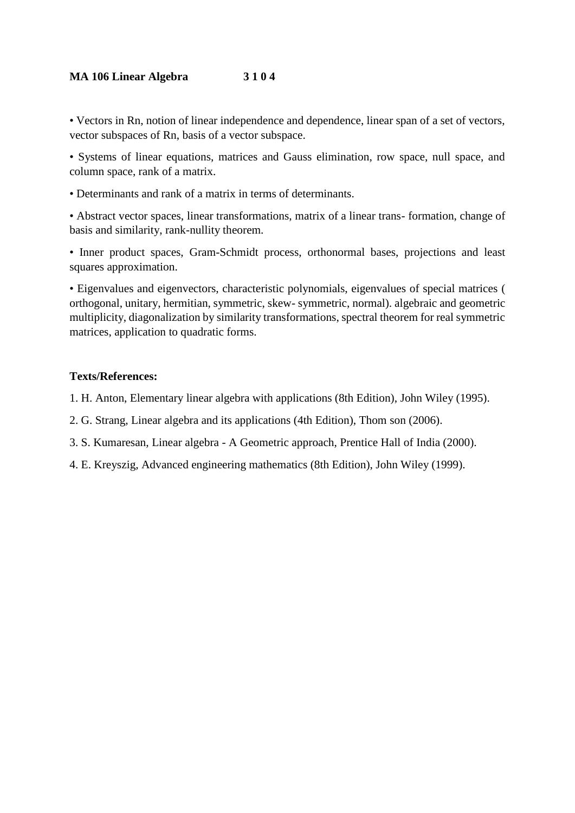## **MA 106 Linear Algebra 3 1 0 4**

• Vectors in Rn, notion of linear independence and dependence, linear span of a set of vectors, vector subspaces of Rn, basis of a vector subspace.

• Systems of linear equations, matrices and Gauss elimination, row space, null space, and column space, rank of a matrix.

• Determinants and rank of a matrix in terms of determinants.

• Abstract vector spaces, linear transformations, matrix of a linear trans- formation, change of basis and similarity, rank-nullity theorem.

• Inner product spaces, Gram-Schmidt process, orthonormal bases, projections and least squares approximation.

• Eigenvalues and eigenvectors, characteristic polynomials, eigenvalues of special matrices ( orthogonal, unitary, hermitian, symmetric, skew- symmetric, normal). algebraic and geometric multiplicity, diagonalization by similarity transformations, spectral theorem for real symmetric matrices, application to quadratic forms.

#### **Texts/References:**

- 1. H. Anton, Elementary linear algebra with applications (8th Edition), John Wiley (1995).
- 2. G. Strang, Linear algebra and its applications (4th Edition), Thom son (2006).
- 3. S. Kumaresan, Linear algebra A Geometric approach, Prentice Hall of India (2000).
- 4. E. Kreyszig, Advanced engineering mathematics (8th Edition), John Wiley (1999).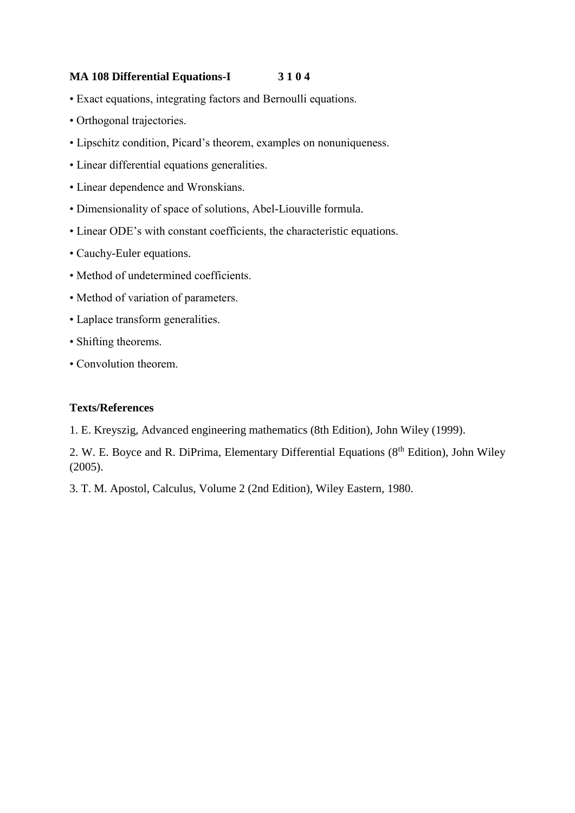## **MA 108 Differential Equations-I 3 1 0 4**

- Exact equations, integrating factors and Bernoulli equations.
- Orthogonal trajectories.
- Lipschitz condition, Picard's theorem, examples on nonuniqueness.
- Linear differential equations generalities.
- Linear dependence and Wronskians.
- Dimensionality of space of solutions, Abel-Liouville formula.
- Linear ODE's with constant coefficients, the characteristic equations.
- Cauchy-Euler equations.
- Method of undetermined coefficients.
- Method of variation of parameters.
- Laplace transform generalities.
- Shifting theorems.
- Convolution theorem.

#### **Texts/References**

1. E. Kreyszig, Advanced engineering mathematics (8th Edition), John Wiley (1999).

2. W. E. Boyce and R. DiPrima, Elementary Differential Equations (8<sup>th</sup> Edition), John Wiley (2005).

3. T. M. Apostol, Calculus, Volume 2 (2nd Edition), Wiley Eastern, 1980.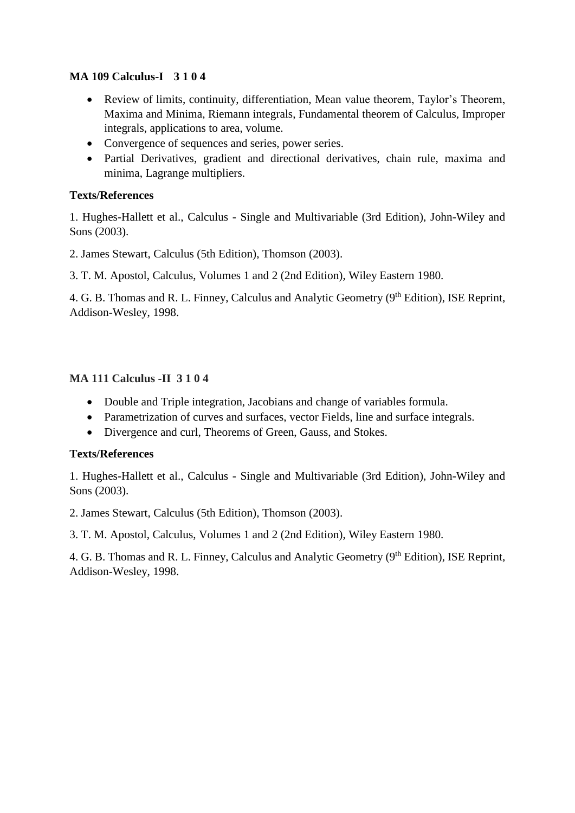# **MA 109 Calculus-I 3 1 0 4**

- Review of limits, continuity, differentiation, Mean value theorem, Taylor's Theorem, Maxima and Minima, Riemann integrals, Fundamental theorem of Calculus, Improper integrals, applications to area, volume.
- Convergence of sequences and series, power series.
- Partial Derivatives, gradient and directional derivatives, chain rule, maxima and minima, Lagrange multipliers.

## **Texts/References**

1. Hughes-Hallett et al., Calculus - Single and Multivariable (3rd Edition), John-Wiley and Sons (2003).

- 2. James Stewart, Calculus (5th Edition), Thomson (2003).
- 3. T. M. Apostol, Calculus, Volumes 1 and 2 (2nd Edition), Wiley Eastern 1980.

4. G. B. Thomas and R. L. Finney, Calculus and Analytic Geometry (9<sup>th</sup> Edition), ISE Reprint, Addison-Wesley, 1998.

## **MA 111 Calculus -II 3 1 0 4**

- Double and Triple integration, Jacobians and change of variables formula.
- Parametrization of curves and surfaces, vector Fields, line and surface integrals.
- Divergence and curl, Theorems of Green, Gauss, and Stokes.

#### **Texts/References**

1. Hughes-Hallett et al., Calculus - Single and Multivariable (3rd Edition), John-Wiley and Sons (2003).

2. James Stewart, Calculus (5th Edition), Thomson (2003).

3. T. M. Apostol, Calculus, Volumes 1 and 2 (2nd Edition), Wiley Eastern 1980.

4. G. B. Thomas and R. L. Finney, Calculus and Analytic Geometry (9<sup>th</sup> Edition), ISE Reprint, Addison-Wesley, 1998.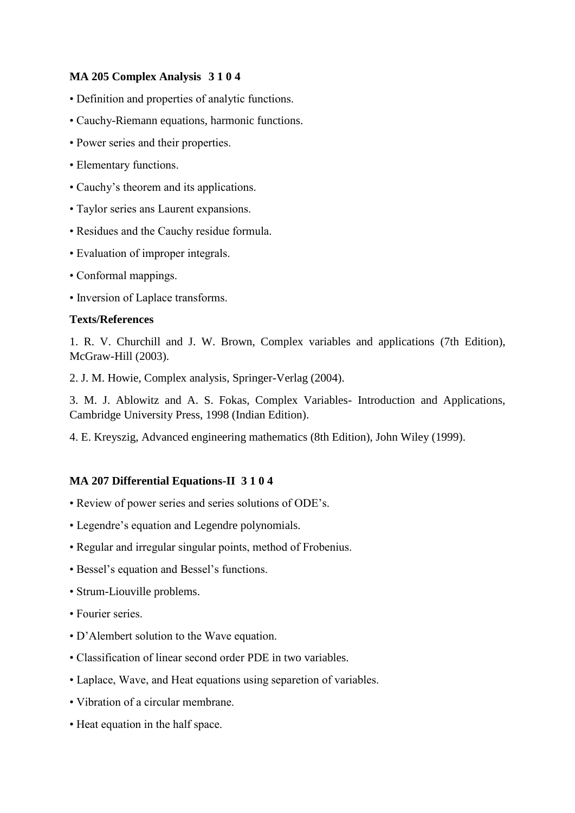## **MA 205 Complex Analysis 3 1 0 4**

- Definition and properties of analytic functions.
- Cauchy-Riemann equations, harmonic functions.
- Power series and their properties.
- Elementary functions.
- Cauchy's theorem and its applications.
- Taylor series ans Laurent expansions.
- Residues and the Cauchy residue formula.
- Evaluation of improper integrals.
- Conformal mappings.
- Inversion of Laplace transforms.

## **Texts/References**

1. R. V. Churchill and J. W. Brown, Complex variables and applications (7th Edition), McGraw-Hill (2003).

2. J. M. Howie, Complex analysis, Springer-Verlag (2004).

3. M. J. Ablowitz and A. S. Fokas, Complex Variables- Introduction and Applications, Cambridge University Press, 1998 (Indian Edition).

4. E. Kreyszig, Advanced engineering mathematics (8th Edition), John Wiley (1999).

# **MA 207 Differential Equations-II 3 1 0 4**

- Review of power series and series solutions of ODE's.
- Legendre's equation and Legendre polynomials.
- Regular and irregular singular points, method of Frobenius.
- Bessel's equation and Bessel's functions.
- Strum-Liouville problems.
- Fourier series.
- D'Alembert solution to the Wave equation.
- Classification of linear second order PDE in two variables.
- Laplace, Wave, and Heat equations using separetion of variables.
- Vibration of a circular membrane.
- Heat equation in the half space.